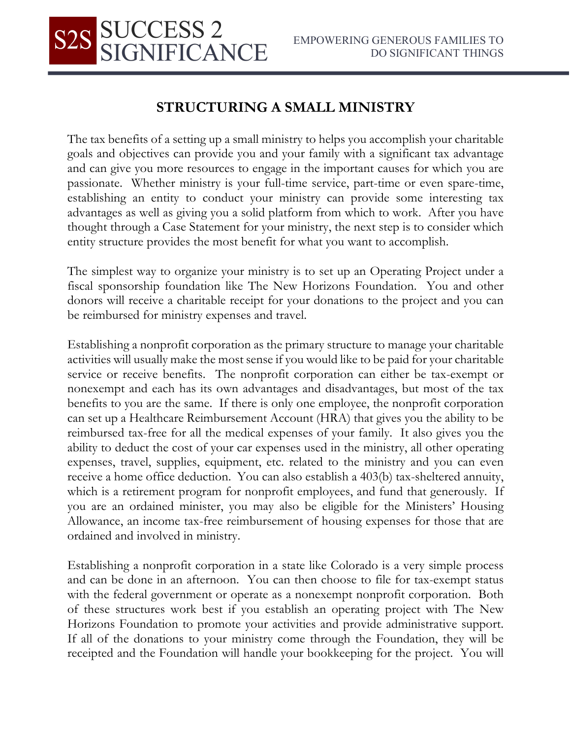## **STRUCTURING A SMALL MINISTRY**

**SUCCESS 2<br>SIGNIFICANCE** 

The tax benefits of a setting up a small ministry to helps you accomplish your charitable goals and objectives can provide you and your family with a significant tax advantage and can give you more resources to engage in the important causes for which you are passionate. Whether ministry is your full-time service, part-time or even spare-time, establishing an entity to conduct your ministry can provide some interesting tax advantages as well as giving you a solid platform from which to work. After you have thought through a Case Statement for your ministry, the next step is to consider which entity structure provides the most benefit for what you want to accomplish.

The simplest way to organize your ministry is to set up an Operating Project under a fiscal sponsorship foundation like The New Horizons Foundation. You and other donors will receive a charitable receipt for your donations to the project and you can be reimbursed for ministry expenses and travel.

Establishing a nonprofit corporation as the primary structure to manage your charitable activities will usually make the most sense if you would like to be paid for your charitable service or receive benefits. The nonprofit corporation can either be tax-exempt or nonexempt and each has its own advantages and disadvantages, but most of the tax benefits to you are the same. If there is only one employee, the nonprofit corporation can set up a Healthcare Reimbursement Account (HRA) that gives you the ability to be reimbursed tax-free for all the medical expenses of your family. It also gives you the ability to deduct the cost of your car expenses used in the ministry, all other operating expenses, travel, supplies, equipment, etc. related to the ministry and you can even receive a home office deduction. You can also establish a 403(b) tax-sheltered annuity, which is a retirement program for nonprofit employees, and fund that generously. If you are an ordained minister, you may also be eligible for the Ministers' Housing Allowance, an income tax-free reimbursement of housing expenses for those that are ordained and involved in ministry.

Establishing a nonprofit corporation in a state like Colorado is a very simple process and can be done in an afternoon. You can then choose to file for tax-exempt status with the federal government or operate as a nonexempt nonprofit corporation. Both of these structures work best if you establish an operating project with The New Horizons Foundation to promote your activities and provide administrative support. If all of the donations to your ministry come through the Foundation, they will be receipted and the Foundation will handle your bookkeeping for the project. You will